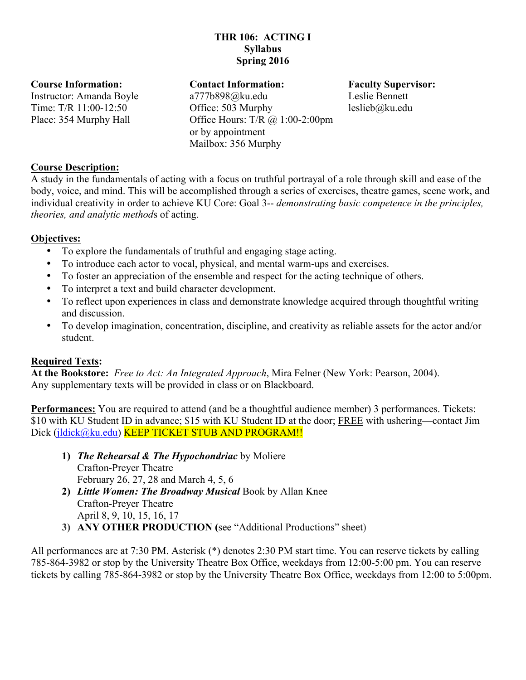# **THR 106: ACTING I Syllabus Spring 2016**

#### **Course Information:**

Instructor: Amanda Boyle Time: T/R 11:00-12:50 Place: 354 Murphy Hall

#### **Contact Information:**

a777b898@ku.edu Office: 503 Murphy Office Hours: T/R @ 1:00-2:00pm or by appointment Mailbox: 356 Murphy

#### **Faculty Supervisor:** Leslie Bennett leslieb@ku.edu

# **Course Description:**

A study in the fundamentals of acting with a focus on truthful portrayal of a role through skill and ease of the body, voice, and mind. This will be accomplished through a series of exercises, theatre games, scene work, and individual creativity in order to achieve KU Core: Goal 3-- *demonstrating basic competence in the principles, theories, and analytic method*s of acting.

# **Objectives:**

- To explore the fundamentals of truthful and engaging stage acting.
- To introduce each actor to vocal, physical, and mental warm-ups and exercises.
- To foster an appreciation of the ensemble and respect for the acting technique of others.
- To interpret a text and build character development.
- To reflect upon experiences in class and demonstrate knowledge acquired through thoughtful writing and discussion.
- To develop imagination, concentration, discipline, and creativity as reliable assets for the actor and/or student.

# **Required Texts:**

**At the Bookstore:** *Free to Act: An Integrated Approach*, Mira Felner (New York: Pearson, 2004). Any supplementary texts will be provided in class or on Blackboard.

**Performances:** You are required to attend (and be a thoughtful audience member) 3 performances. Tickets: \$10 with KU Student ID in advance; \$15 with KU Student ID at the door; FREE with ushering—contact Jim Dick (jldick@ku.edu) KEEP TICKET STUB AND PROGRAM!!

- **1)** *The Rehearsal & The Hypochondriac* by Moliere Crafton-Preyer Theatre February 26, 27, 28 and March 4, 5, 6
- **2)** *Little Women: The Broadway Musical* Book by Allan Knee Crafton-Preyer Theatre April 8, 9, 10, 15, 16, 17
- **3) ANY OTHER PRODUCTION (**see "Additional Productions" sheet)

All performances are at 7:30 PM. Asterisk (\*) denotes 2:30 PM start time. You can reserve tickets by calling 785-864-3982 or stop by the University Theatre Box Office, weekdays from 12:00-5:00 pm. You can reserve tickets by calling 785-864-3982 or stop by the University Theatre Box Office, weekdays from 12:00 to 5:00pm.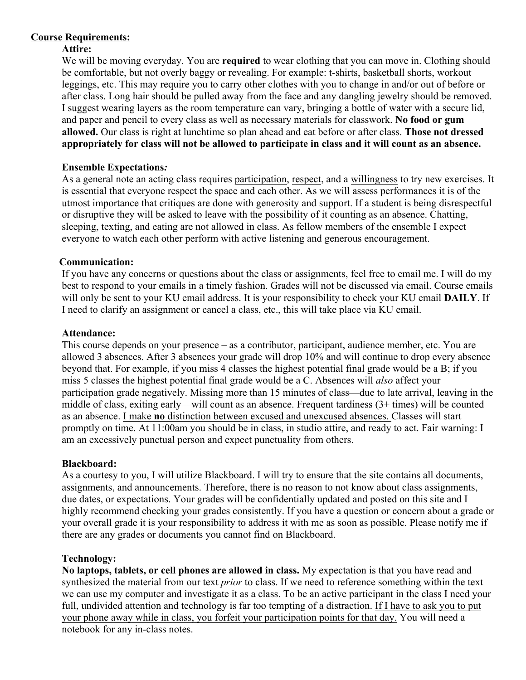# **Course Requirements:**

### **Attire:**

We will be moving everyday. You are **required** to wear clothing that you can move in. Clothing should be comfortable, but not overly baggy or revealing. For example: t-shirts, basketball shorts, workout leggings, etc. This may require you to carry other clothes with you to change in and/or out of before or after class. Long hair should be pulled away from the face and any dangling jewelry should be removed. I suggest wearing layers as the room temperature can vary, bringing a bottle of water with a secure lid, and paper and pencil to every class as well as necessary materials for classwork. **No food or gum allowed.** Our class is right at lunchtime so plan ahead and eat before or after class. **Those not dressed appropriately for class will not be allowed to participate in class and it will count as an absence.**

### **Ensemble Expectations***:*

As a general note an acting class requires participation, respect, and a willingness to try new exercises. It is essential that everyone respect the space and each other. As we will assess performances it is of the utmost importance that critiques are done with generosity and support. If a student is being disrespectful or disruptive they will be asked to leave with the possibility of it counting as an absence. Chatting, sleeping, texting, and eating are not allowed in class. As fellow members of the ensemble I expect everyone to watch each other perform with active listening and generous encouragement.

### **Communication:**

If you have any concerns or questions about the class or assignments, feel free to email me. I will do my best to respond to your emails in a timely fashion. Grades will not be discussed via email. Course emails will only be sent to your KU email address. It is your responsibility to check your KU email **DAILY**. If I need to clarify an assignment or cancel a class, etc., this will take place via KU email.

#### **Attendance:**

This course depends on your presence – as a contributor, participant, audience member, etc. You are allowed 3 absences. After 3 absences your grade will drop 10% and will continue to drop every absence beyond that. For example, if you miss 4 classes the highest potential final grade would be a B; if you miss 5 classes the highest potential final grade would be a C. Absences will *also* affect your participation grade negatively. Missing more than 15 minutes of class—due to late arrival, leaving in the middle of class, exiting early—will count as an absence. Frequent tardiness (3+ times) will be counted as an absence. I make **no** distinction between excused and unexcused absences. Classes will start promptly on time. At 11:00am you should be in class, in studio attire, and ready to act. Fair warning: I am an excessively punctual person and expect punctuality from others.

#### **Blackboard:**

As a courtesy to you, I will utilize Blackboard. I will try to ensure that the site contains all documents, assignments, and announcements. Therefore, there is no reason to not know about class assignments, due dates, or expectations. Your grades will be confidentially updated and posted on this site and I highly recommend checking your grades consistently. If you have a question or concern about a grade or your overall grade it is your responsibility to address it with me as soon as possible. Please notify me if there are any grades or documents you cannot find on Blackboard.

#### **Technology:**

**No laptops, tablets, or cell phones are allowed in class.** My expectation is that you have read and synthesized the material from our text *prior* to class. If we need to reference something within the text we can use my computer and investigate it as a class. To be an active participant in the class I need your full, undivided attention and technology is far too tempting of a distraction. If I have to ask you to put your phone away while in class, you forfeit your participation points for that day. You will need a notebook for any in-class notes.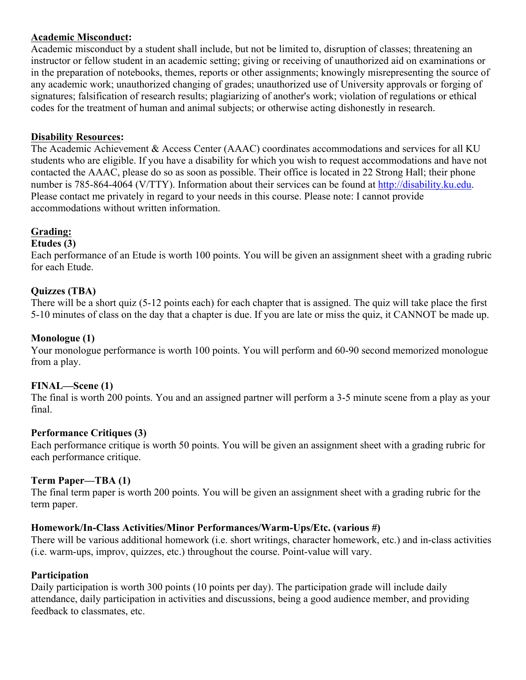# **Academic Misconduct:**

Academic misconduct by a student shall include, but not be limited to, disruption of classes; threatening an instructor or fellow student in an academic setting; giving or receiving of unauthorized aid on examinations or in the preparation of notebooks, themes, reports or other assignments; knowingly misrepresenting the source of any academic work; unauthorized changing of grades; unauthorized use of University approvals or forging of signatures; falsification of research results; plagiarizing of another's work; violation of regulations or ethical codes for the treatment of human and animal subjects; or otherwise acting dishonestly in research.

# **Disability Resources:**

The Academic Achievement & Access Center (AAAC) coordinates accommodations and services for all KU students who are eligible. If you have a disability for which you wish to request accommodations and have not contacted the AAAC, please do so as soon as possible. Their office is located in 22 Strong Hall; their phone number is 785-864-4064 (V/TTY). Information about their services can be found at http://disability.ku.edu. Please contact me privately in regard to your needs in this course. Please note: I cannot provide accommodations without written information.

# **Grading:**

# **Etudes (3)**

Each performance of an Etude is worth 100 points. You will be given an assignment sheet with a grading rubric for each Etude.

# **Quizzes (TBA)**

There will be a short quiz (5-12 points each) for each chapter that is assigned. The quiz will take place the first 5-10 minutes of class on the day that a chapter is due. If you are late or miss the quiz, it CANNOT be made up.

# **Monologue (1)**

Your monologue performance is worth 100 points. You will perform and 60-90 second memorized monologue from a play.

# **FINAL—Scene (1)**

The final is worth 200 points. You and an assigned partner will perform a 3-5 minute scene from a play as your final.

# **Performance Critiques (3)**

Each performance critique is worth 50 points. You will be given an assignment sheet with a grading rubric for each performance critique.

# **Term Paper—TBA (1)**

The final term paper is worth 200 points. You will be given an assignment sheet with a grading rubric for the term paper.

# **Homework/In-Class Activities/Minor Performances/Warm-Ups/Etc. (various #)**

There will be various additional homework (i.e. short writings, character homework, etc.) and in-class activities (i.e. warm-ups, improv, quizzes, etc.) throughout the course. Point-value will vary.

# **Participation**

Daily participation is worth 300 points (10 points per day). The participation grade will include daily attendance, daily participation in activities and discussions, being a good audience member, and providing feedback to classmates, etc.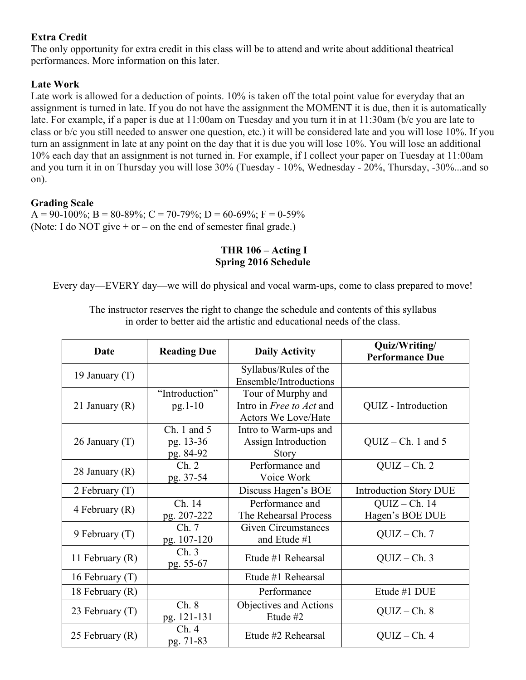# **Extra Credit**

The only opportunity for extra credit in this class will be to attend and write about additional theatrical performances. More information on this later.

# **Late Work**

Late work is allowed for a deduction of points. 10% is taken off the total point value for everyday that an assignment is turned in late. If you do not have the assignment the MOMENT it is due, then it is automatically late. For example, if a paper is due at 11:00am on Tuesday and you turn it in at 11:30am (b/c you are late to class or b/c you still needed to answer one question, etc.) it will be considered late and you will lose 10%. If you turn an assignment in late at any point on the day that it is due you will lose 10%. You will lose an additional 10% each day that an assignment is not turned in. For example, if I collect your paper on Tuesday at 11:00am and you turn it in on Thursday you will lose 30% (Tuesday - 10%, Wednesday - 20%, Thursday, -30%...and so on).

# **Grading Scale**

 $A = 90-100\%$ ; B = 80-89%; C = 70-79%; D = 60-69%; F = 0-59% (Note: I do NOT give + or – on the end of semester final grade.)

# **THR 106 – Acting I Spring 2016 Schedule**

Every day—EVERY day—we will do physical and vocal warm-ups, come to class prepared to move!

| Date              | <b>Reading Due</b>                        | <b>Daily Activity</b>                                                        | Quiz/Writing/<br><b>Performance Due</b> |
|-------------------|-------------------------------------------|------------------------------------------------------------------------------|-----------------------------------------|
| 19 January $(T)$  |                                           | Syllabus/Rules of the<br>Ensemble/Introductions                              |                                         |
| 21 January $(R)$  | "Introduction"<br>$pg.1-10$               | Tour of Murphy and<br>Intro in Free to Act and<br><b>Actors We Love/Hate</b> | QUIZ - Introduction                     |
| 26 January $(T)$  | $Ch. 1$ and $5$<br>pg. 13-36<br>pg. 84-92 | Intro to Warm-ups and<br>Assign Introduction<br><b>Story</b>                 | $QUIZ - Ch. 1$ and 5                    |
| 28 January $(R)$  | Ch. 2<br>pg. 37-54                        | Performance and<br>Voice Work                                                | $QUIZ - Ch. 2$                          |
| 2 February $(T)$  |                                           | Discuss Hagen's BOE                                                          | <b>Introduction Story DUE</b>           |
| 4 February $(R)$  | Ch. 14<br>pg. 207-222                     | Performance and<br>The Rehearsal Process                                     | $QUIZ-Ch. 14$<br>Hagen's BOE DUE        |
| 9 February $(T)$  | Ch.7<br>pg. 107-120                       | <b>Given Circumstances</b><br>and Etude #1                                   | $QUIZ - Ch.7$                           |
| 11 February $(R)$ | Ch.3<br>pg. 55-67                         | Etude #1 Rehearsal                                                           | $QUIZ - Ch.3$                           |
| 16 February (T)   |                                           | Etude #1 Rehearsal                                                           |                                         |
| 18 February (R)   |                                           | Performance                                                                  | Etude #1 DUE                            |
| 23 February $(T)$ | Ch. 8<br>pg. 121-131                      | Objectives and Actions<br>Etude #2                                           | $QUIZ - Ch. 8$                          |
| 25 February (R)   | Ch.4<br>pg. 71-83                         | Etude #2 Rehearsal                                                           | $QUIZ - Ch. 4$                          |

The instructor reserves the right to change the schedule and contents of this syllabus in order to better aid the artistic and educational needs of the class.